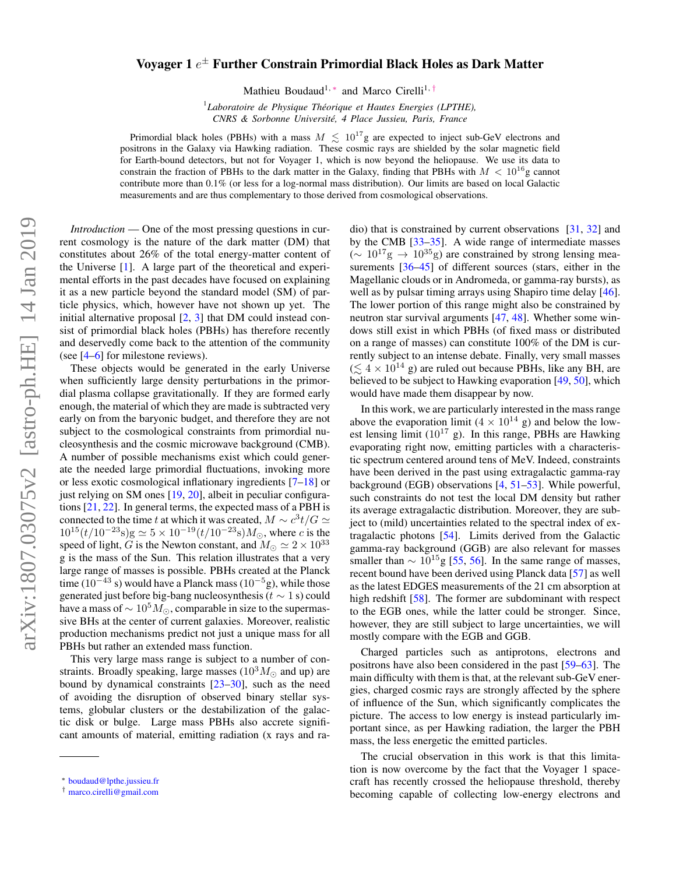## arXiv:1807.03075v2 [astro-ph.HE] 14 Jan 2019 arXiv:1807.03075v2 [astro-ph.HE] 14 Jan 2019

## Voyager 1  $e^\pm$  Further Constrain Primordial Black Holes as Dark Matter

Mathieu Boudaud<sup>1,\*</sup> and Marco Cirelli<sup>1,[†](#page-0-1)</sup>

1 *Laboratoire de Physique Theorique et Hautes Energies (LPTHE), ´ CNRS & Sorbonne Universite, 4 Place Jussieu, Paris, France ´*

Primordial black holes (PBHs) with a mass  $M \lesssim 10^{17}$ g are expected to inject sub-GeV electrons and positrons in the Galaxy via Hawking radiation. These cosmic rays are shielded by the solar magnetic field for Earth-bound detectors, but not for Voyager 1, which is now beyond the heliopause. We use its data to constrain the fraction of PBHs to the dark matter in the Galaxy, finding that PBHs with  $M < 10^{16}$ g cannot contribute more than 0.1% (or less for a log-normal mass distribution). Our limits are based on local Galactic measurements and are thus complementary to those derived from cosmological observations.

*Introduction* — One of the most pressing questions in current cosmology is the nature of the dark matter (DM) that constitutes about 26% of the total energy-matter content of the Universe [\[1\]](#page-4-0). A large part of the theoretical and experimental efforts in the past decades have focused on explaining it as a new particle beyond the standard model (SM) of particle physics, which, however have not shown up yet. The initial alternative proposal  $[2, 3]$  $[2, 3]$  $[2, 3]$  that DM could instead consist of primordial black holes (PBHs) has therefore recently and deservedly come back to the attention of the community (see [\[4–](#page-4-3)[6\]](#page-4-4) for milestone reviews).

These objects would be generated in the early Universe when sufficiently large density perturbations in the primordial plasma collapse gravitationally. If they are formed early enough, the material of which they are made is subtracted very early on from the baryonic budget, and therefore they are not subject to the cosmological constraints from primordial nucleosynthesis and the cosmic microwave background (CMB). A number of possible mechanisms exist which could generate the needed large primordial fluctuations, invoking more or less exotic cosmological inflationary ingredients [\[7–](#page-4-5)[18\]](#page-4-6) or just relying on SM ones [\[19,](#page-4-7) [20\]](#page-4-8), albeit in peculiar configurations [\[21,](#page-4-9) [22\]](#page-4-10). In general terms, the expected mass of a PBH is connected to the time t at which it was created,  $M \sim c^3 t/G \simeq$  $10^{15}(t/10^{-23}s)g \simeq 5 \times 10^{-19}(t/10^{-23}s)M_{\odot}$ , where c is the speed of light, G is the Newton constant, and  $M_{\odot} \simeq 2 \times 10^{33}$ g is the mass of the Sun. This relation illustrates that a very large range of masses is possible. PBHs created at the Planck time (10<sup>−43</sup> s) would have a Planck mass (10<sup>−5</sup>g), while those generated just before big-bang nucleosynthesis ( $t \sim 1$  s) could have a mass of  $\sim 10^5 M_{\odot}$ , comparable in size to the supermassive BHs at the center of current galaxies. Moreover, realistic production mechanisms predict not just a unique mass for all PBHs but rather an extended mass function.

This very large mass range is subject to a number of constraints. Broadly speaking, large masses  $(10<sup>3</sup>M<sub>o</sub>)$  and up) are bound by dynamical constraints  $[23-30]$  $[23-30]$ , such as the need of avoiding the disruption of observed binary stellar systems, globular clusters or the destabilization of the galactic disk or bulge. Large mass PBHs also accrete significant amounts of material, emitting radiation (x rays and ra-

dio) that is constrained by current observations [\[31,](#page-4-13) [32\]](#page-4-14) and by the CMB [\[33](#page-4-15)[–35\]](#page-4-16). A wide range of intermediate masses  $(∼ 10^{17}g → 10^{35}g)$  are constrained by strong lensing mea-surements [\[36–](#page-4-17)[45\]](#page-4-18) of different sources (stars, either in the Magellanic clouds or in Andromeda, or gamma-ray bursts), as well as by pulsar timing arrays using Shapiro time delay [\[46\]](#page-4-19). The lower portion of this range might also be constrained by neutron star survival arguments [\[47,](#page-4-20) [48\]](#page-4-21). Whether some windows still exist in which PBHs (of fixed mass or distributed on a range of masses) can constitute 100% of the DM is currently subject to an intense debate. Finally, very small masses  $(\leq 4 \times 10^{14} \text{ g})$  are ruled out because PBHs, like any BH, are believed to be subject to Hawking evaporation [\[49,](#page-4-22) [50\]](#page-5-0), which would have made them disappear by now.

In this work, we are particularly interested in the mass range above the evaporation limit  $(4 \times 10^{14} \text{ g})$  and below the lowest lensing limit  $(10^{17} \text{ g})$ . In this range, PBHs are Hawking evaporating right now, emitting particles with a characteristic spectrum centered around tens of MeV. Indeed, constraints have been derived in the past using extragalactic gamma-ray background (EGB) observations [\[4,](#page-4-3) [51](#page-5-1)[–53\]](#page-5-2). While powerful, such constraints do not test the local DM density but rather its average extragalactic distribution. Moreover, they are subject to (mild) uncertainties related to the spectral index of extragalactic photons [\[54\]](#page-5-3). Limits derived from the Galactic gamma-ray background (GGB) are also relevant for masses smaller than  $\sim 10^{15}$ g [\[55,](#page-5-4) [56\]](#page-5-5). In the same range of masses, recent bound have been derived using Planck data [\[57\]](#page-5-6) as well as the latest EDGES measurements of the 21 cm absorption at high redshift [\[58\]](#page-5-7). The former are subdominant with respect to the EGB ones, while the latter could be stronger. Since, however, they are still subject to large uncertainties, we will mostly compare with the EGB and GGB.

Charged particles such as antiprotons, electrons and positrons have also been considered in the past [\[59–](#page-5-8)[63\]](#page-5-9). The main difficulty with them is that, at the relevant sub-GeV energies, charged cosmic rays are strongly affected by the sphere of influence of the Sun, which significantly complicates the picture. The access to low energy is instead particularly important since, as per Hawking radiation, the larger the PBH mass, the less energetic the emitted particles.

The crucial observation in this work is that this limitation is now overcome by the fact that the Voyager 1 spacecraft has recently crossed the heliopause threshold, thereby becoming capable of collecting low-energy electrons and

<span id="page-0-0"></span><sup>∗</sup> [boudaud@lpthe.jussieu.fr](mailto:boudaud@lpthe.jussieu.fr)

<span id="page-0-1"></span><sup>†</sup> [marco.cirelli@gmail.com](mailto:marco.cirelli@gmail.com)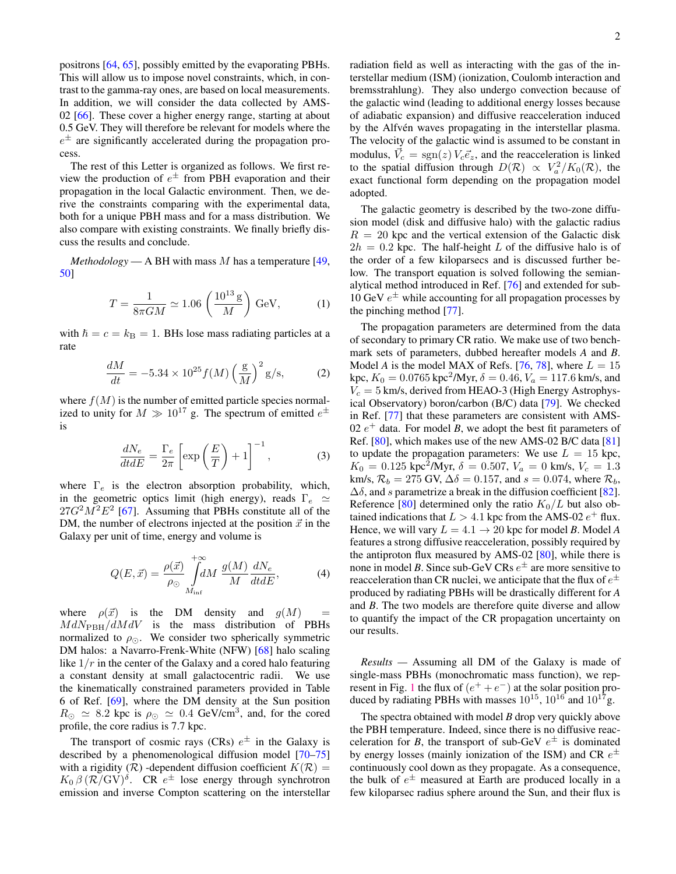positrons [\[64,](#page-5-10) [65\]](#page-5-11), possibly emitted by the evaporating PBHs. This will allow us to impose novel constraints, which, in contrast to the gamma-ray ones, are based on local measurements. In addition, we will consider the data collected by AMS-02 [\[66\]](#page-5-12). These cover a higher energy range, starting at about 0.5 GeV. They will therefore be relevant for models where the  $e^{\pm}$  are significantly accelerated during the propagation process.

The rest of this Letter is organized as follows. We first review the production of  $e^{\pm}$  from PBH evaporation and their propagation in the local Galactic environment. Then, we derive the constraints comparing with the experimental data, both for a unique PBH mass and for a mass distribution. We also compare with existing constraints. We finally briefly discuss the results and conclude.

*Methodology* — A BH with mass M has a temperature [\[49,](#page-4-22) [50\]](#page-5-0)

$$
T = \frac{1}{8\pi GM} \simeq 1.06 \left(\frac{10^{13} \,\mathrm{g}}{M}\right) \,\mathrm{GeV},\tag{1}
$$

with  $\hbar = c = k_B = 1$ . BHs lose mass radiating particles at a rate

$$
\frac{dM}{dt} = -5.34 \times 10^{25} f(M) \left(\frac{\text{g}}{M}\right)^2 \text{g/s},\tag{2}
$$

where  $f(M)$  is the number of emitted particle species normalized to unity for  $M \gg 10^{17}$  g. The spectrum of emitted  $e^{\pm}$ is

$$
\frac{dN_e}{dt dE} = \frac{\Gamma_e}{2\pi} \left[ \exp\left(\frac{E}{T}\right) + 1 \right]^{-1},\tag{3}
$$

where  $\Gamma_e$  is the electron absorption probability, which, in the geometric optics limit (high energy), reads  $\Gamma_e \simeq$  $27G^2M^2E^2$  [\[67\]](#page-5-13). Assuming that PBHs constitute all of the DM, the number of electrons injected at the position  $\vec{x}$  in the Galaxy per unit of time, energy and volume is

$$
Q(E,\vec{x}) = \frac{\rho(\vec{x})}{\rho_{\odot}} \int_{M_{\rm inf}}^{+\infty} dM \frac{g(M)}{M} \frac{dN_e}{dt dE},
$$
 (4)

where  $\rho(\vec{x})$  is the DM density and  $g(M)$  $MdN_{\text{PBH}}/dMdV$  is the mass distribution of PBHs normalized to  $\rho_{\odot}$ . We consider two spherically symmetric DM halos: a Navarro-Frenk-White (NFW) [\[68\]](#page-5-14) halo scaling like  $1/r$  in the center of the Galaxy and a cored halo featuring a constant density at small galactocentric radii. We use the kinematically constrained parameters provided in Table 6 of Ref. [\[69\]](#page-5-15), where the DM density at the Sun position  $R_{\odot} \simeq 8.2$  kpc is  $\rho_{\odot} \simeq 0.4$  GeV/cm<sup>3</sup>, and, for the cored profile, the core radius is 7.7 kpc.

The transport of cosmic rays (CRs)  $e^{\pm}$  in the Galaxy is described by a phenomenological diffusion model [\[70–](#page-5-16)[75\]](#page-5-17) with a rigidity ( $\mathcal{R}$ ) -dependent diffusion coefficient  $K(\mathcal{R}) =$  $K_0 \beta \, (\mathcal{R}/\text{GV})^{\delta}$ . CR  $e^{\pm}$  lose energy through synchrotron emission and inverse Compton scattering on the interstellar radiation field as well as interacting with the gas of the interstellar medium (ISM) (ionization, Coulomb interaction and bremsstrahlung). They also undergo convection because of the galactic wind (leading to additional energy losses because of adiabatic expansion) and diffusive reacceleration induced by the Alfvén waves propagating in the interstellar plasma. The velocity of the galactic wind is assumed to be constant in modulus,  $\vec{V}_c = \text{sgn}(z) V_c \vec{e}_z$ , and the reacceleration is linked to the spatial diffusion through  $D(\mathcal{R}) \propto V_a^2/K_0(\mathcal{R})$ , the exact functional form depending on the propagation model adopted.

The galactic geometry is described by the two-zone diffusion model (disk and diffusive halo) with the galactic radius  $R = 20$  kpc and the vertical extension of the Galactic disk  $2h = 0.2$  kpc. The half-height L of the diffusive halo is of the order of a few kiloparsecs and is discussed further below. The transport equation is solved following the semianalytical method introduced in Ref. [\[76\]](#page-5-18) and extended for sub-10 GeV  $e^{\pm}$  while accounting for all propagation processes by the pinching method [\[77\]](#page-5-19).

The propagation parameters are determined from the data of secondary to primary CR ratio. We make use of two benchmark sets of parameters, dubbed hereafter models *A* and *B*. Model *A* is the model MAX of Refs. [\[76,](#page-5-18) [78\]](#page-5-20), where  $L = 15$ kpc,  $K_0 = 0.0765$  kpc<sup>2</sup>/Myr,  $\delta = 0.46$ ,  $V_a = 117.6$  km/s, and  $V_c = 5$  km/s, derived from HEAO-3 (High Energy Astrophysical Observatory) boron/carbon (B/C) data [\[79\]](#page-5-21). We checked in Ref. [\[77\]](#page-5-19) that these parameters are consistent with AMS-02  $e<sup>+</sup>$  data. For model *B*, we adopt the best fit parameters of Ref. [\[80\]](#page-5-22), which makes use of the new AMS-02 B/C data [\[81\]](#page-5-23) to update the propagation parameters: We use  $L = 15$  kpc,  $K_0 = 0.125 \text{ kpc}^2/\text{Myr}, \delta = 0.507, V_a = 0 \text{ km/s}, V_c = 1.3$ km/s,  $\mathcal{R}_b = 275$  GV,  $\Delta\delta = 0.157$ , and  $s = 0.074$ , where  $\mathcal{R}_b$ ,  $\Delta\delta$ , and s parametrize a break in the diffusion coefficient [\[82\]](#page-5-24). Reference [\[80\]](#page-5-22) determined only the ratio  $K_0/L$  but also obtained indications that  $L > 4.1$  kpc from the AMS-02  $e^+$  flux. Hence, we will vary  $L = 4.1 \rightarrow 20$  kpc for model *B*. Model *A* features a strong diffusive reacceleration, possibly required by the antiproton flux measured by AMS-02 [\[80\]](#page-5-22), while there is none in model *B*. Since sub-GeV CRs  $e^{\pm}$  are more sensitive to reacceleration than CR nuclei, we anticipate that the flux of  $e^\pm$ produced by radiating PBHs will be drastically different for *A* and *B*. The two models are therefore quite diverse and allow to quantify the impact of the CR propagation uncertainty on our results.

*Results —* Assuming all DM of the Galaxy is made of single-mass PBHs (monochromatic mass function), we rep-resent in Fig. [1](#page-2-0) the flux of  $(e^+ + e^-)$  at the solar position produced by radiating PBHs with masses  $10^{15}$ ,  $10^{16}$  and  $10^{17}$ g.

The spectra obtained with model *B* drop very quickly above the PBH temperature. Indeed, since there is no diffusive reacceleration for *B*, the transport of sub-GeV  $e^{\pm}$  is dominated by energy losses (mainly ionization of the ISM) and CR  $e^{\pm}$ continuously cool down as they propagate. As a consequence, the bulk of  $e^{\pm}$  measured at Earth are produced locally in a few kiloparsec radius sphere around the Sun, and their flux is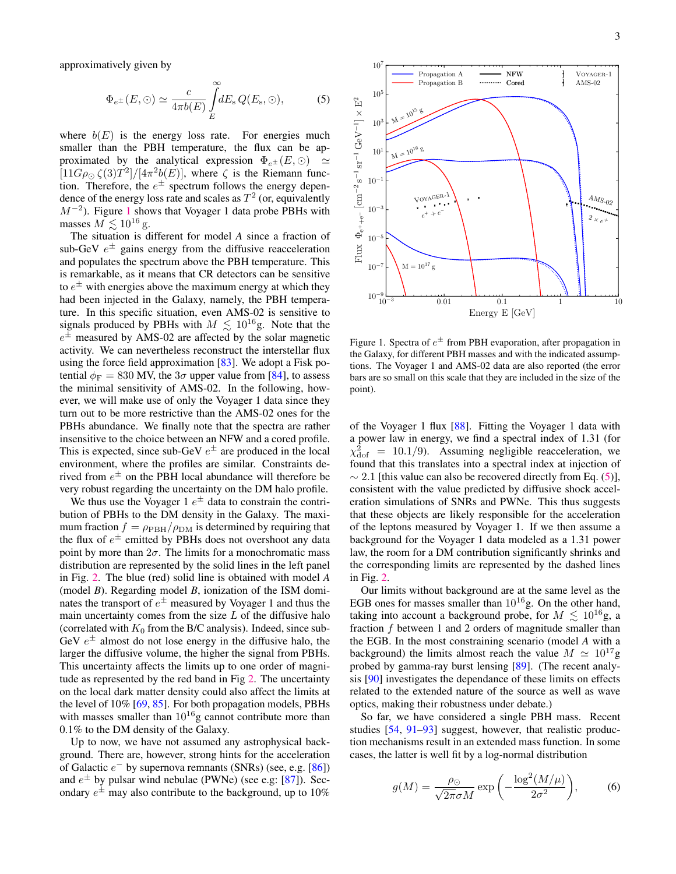approximatively given by

<span id="page-2-1"></span>
$$
\Phi_{e^{\pm}}(E,\odot) \simeq \frac{c}{4\pi b(E)} \int\limits_{E}^{\infty} dE_{\rm s} Q(E_{\rm s},\odot),\tag{5}
$$

where  $b(E)$  is the energy loss rate. For energies much smaller than the PBH temperature, the flux can be approximated by the analytical expression  $\Phi_{e^{\pm}}(E, \odot) \simeq$  $[11G\rho_{\odot} \zeta(3)T^2]/[4\pi^2 b(E)]$ , where  $\zeta$  is the Riemann function. Therefore, the  $e^{\pm}$  spectrum follows the energy dependence of the energy loss rate and scales as  $T^2$  (or, equivalently  $M^{-2}$ ). Figure [1](#page-2-0) shows that Voyager 1 data probe PBHs with masses  $M \lesssim 10^{16} \, \mathrm{g}.$ 

The situation is different for model *A* since a fraction of sub-GeV  $e^{\pm}$  gains energy from the diffusive reacceleration and populates the spectrum above the PBH temperature. This is remarkable, as it means that CR detectors can be sensitive to  $e^{\pm}$  with energies above the maximum energy at which they had been injected in the Galaxy, namely, the PBH temperature. In this specific situation, even AMS-02 is sensitive to signals produced by PBHs with  $M \leq 10^{16}$ g. Note that the  $e^{\pm}$  measured by AMS-02 are affected by the solar magnetic activity. We can nevertheless reconstruct the interstellar flux using the force field approximation [\[83\]](#page-5-25). We adopt a Fisk potential  $\phi_F = 830$  MV, the  $3\sigma$  upper value from [\[84\]](#page-5-26), to assess the minimal sensitivity of AMS-02. In the following, however, we will make use of only the Voyager 1 data since they turn out to be more restrictive than the AMS-02 ones for the PBHs abundance. We finally note that the spectra are rather insensitive to the choice between an NFW and a cored profile. This is expected, since sub-GeV  $e^{\pm}$  are produced in the local environment, where the profiles are similar. Constraints derived from  $e^{\pm}$  on the PBH local abundance will therefore be very robust regarding the uncertainty on the DM halo profile.

We thus use the Voyager  $1 e^{\pm}$  data to constrain the contribution of PBHs to the DM density in the Galaxy. The maximum fraction  $f = \rho_{\rm PBH}/\rho_{\rm DM}$  is determined by requiring that the flux of  $e^{\pm}$  emitted by PBHs does not overshoot any data point by more than  $2\sigma$ . The limits for a monochromatic mass distribution are represented by the solid lines in the left panel in Fig. [2.](#page-3-0) The blue (red) solid line is obtained with model *A* (model *B*). Regarding model *B*, ionization of the ISM dominates the transport of  $e^{\pm}$  measured by Voyager 1 and thus the main uncertainty comes from the size  $L$  of the diffusive halo (correlated with  $K_0$  from the B/C analysis). Indeed, since sub-GeV  $e^{\pm}$  almost do not lose energy in the diffusive halo, the larger the diffusive volume, the higher the signal from PBHs. This uncertainty affects the limits up to one order of magnitude as represented by the red band in Fig [2.](#page-3-0) The uncertainty on the local dark matter density could also affect the limits at the level of 10% [\[69,](#page-5-15) [85\]](#page-5-27). For both propagation models, PBHs with masses smaller than  $10^{16}$ g cannot contribute more than 0.1% to the DM density of the Galaxy.

Up to now, we have not assumed any astrophysical background. There are, however, strong hints for the acceleration of Galactic  $e^-$  by supernova remnants (SNRs) (see, e.g. [\[86\]](#page-5-28)) and  $e^{\pm}$  by pulsar wind nebulae (PWNe) (see e.g: [\[87\]](#page-5-29)). Secondary  $e^{\pm}$  may also contribute to the background, up to 10%



<span id="page-2-0"></span>Figure 1. Spectra of  $e^{\pm}$  from PBH evaporation, after propagation in the Galaxy, for different PBH masses and with the indicated assumptions. The Voyager 1 and AMS-02 data are also reported (the error bars are so small on this scale that they are included in the size of the point).

of the Voyager 1 flux [\[88\]](#page-5-30). Fitting the Voyager 1 data with a power law in energy, we find a spectral index of 1.31 (for  $\chi^2_{\text{dof}}$  = 10.1/9). Assuming negligible reacceleration, we found that this translates into a spectral index at injection of  $\sim 2.1$  [this value can also be recovered directly from Eq. [\(5\)](#page-2-1)], consistent with the value predicted by diffusive shock acceleration simulations of SNRs and PWNe. This thus suggests that these objects are likely responsible for the acceleration of the leptons measured by Voyager 1. If we then assume a background for the Voyager 1 data modeled as a 1.31 power law, the room for a DM contribution significantly shrinks and the corresponding limits are represented by the dashed lines in Fig. [2.](#page-3-0)

Our limits without background are at the same level as the EGB ones for masses smaller than  $10^{16}$ g. On the other hand, taking into account a background probe, for  $M \leq 10^{16}$ g, a fraction f between 1 and 2 orders of magnitude smaller than the EGB. In the most constraining scenario (model *A* with a background) the limits almost reach the value  $M \simeq 10^{17}$ g probed by gamma-ray burst lensing [\[89\]](#page-5-31). (The recent analysis [\[90\]](#page-5-32) investigates the dependance of these limits on effects related to the extended nature of the source as well as wave optics, making their robustness under debate.)

So far, we have considered a single PBH mass. Recent studies [\[54,](#page-5-3) [91](#page-5-33)[–93\]](#page-5-34) suggest, however, that realistic production mechanisms result in an extended mass function. In some cases, the latter is well fit by a log-normal distribution

$$
g(M) = \frac{\rho_{\odot}}{\sqrt{2\pi}\sigma M} \exp\left(-\frac{\log^2(M/\mu)}{2\sigma^2}\right),\tag{6}
$$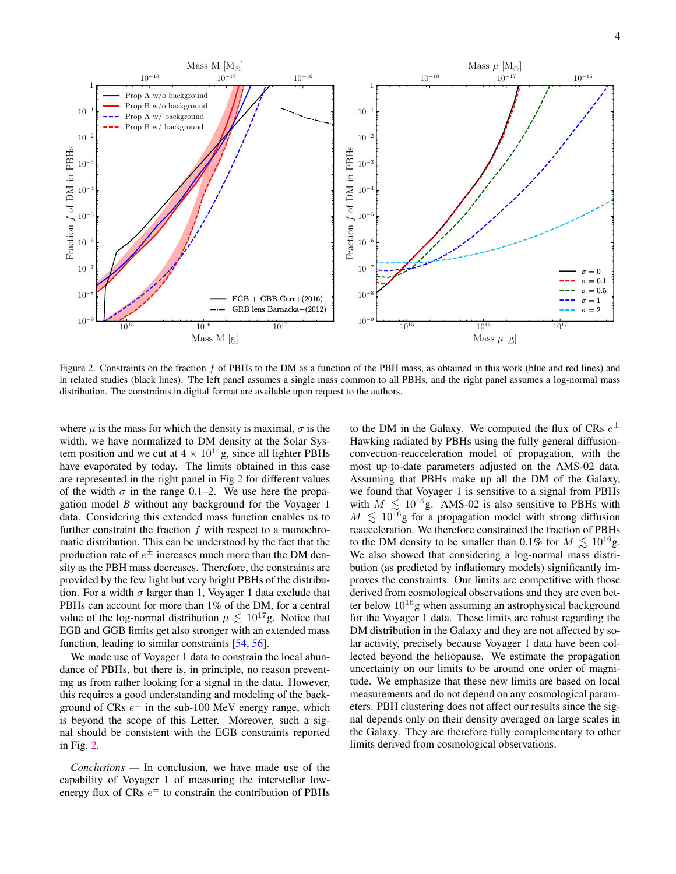

<span id="page-3-0"></span>Figure 2. Constraints on the fraction  $f$  of PBHs to the DM as a function of the PBH mass, as obtained in this work (blue and red lines) and in related studies (black lines). The left panel assumes a single mass common to all PBHs, and the right panel assumes a log-normal mass distribution. The constraints in digital format are available upon request to the authors.

where  $\mu$  is the mass for which the density is maximal,  $\sigma$  is the width, we have normalized to DM density at the Solar System position and we cut at  $4 \times 10^{14}$ g, since all lighter PBHs have evaporated by today. The limits obtained in this case are represented in the right panel in Fig [2](#page-3-0) for different values of the width  $\sigma$  in the range 0.1–2. We use here the propagation model *B* without any background for the Voyager 1 data. Considering this extended mass function enables us to further constraint the fraction  $f$  with respect to a monochromatic distribution. This can be understood by the fact that the production rate of  $e^{\pm}$  increases much more than the DM density as the PBH mass decreases. Therefore, the constraints are provided by the few light but very bright PBHs of the distribution. For a width  $\sigma$  larger than 1, Voyager 1 data exclude that PBHs can account for more than 1% of the DM, for a central value of the log-normal distribution  $\mu \lesssim 10^{17}$ g. Notice that EGB and GGB limits get also stronger with an extended mass function, leading to similar constraints [\[54,](#page-5-3) [56\]](#page-5-5).

We made use of Voyager 1 data to constrain the local abundance of PBHs, but there is, in principle, no reason preventing us from rather looking for a signal in the data. However, this requires a good understanding and modeling of the background of CRs  $e^{\pm}$  in the sub-100 MeV energy range, which is beyond the scope of this Letter. Moreover, such a signal should be consistent with the EGB constraints reported in Fig. [2.](#page-3-0)

*Conclusions —* In conclusion, we have made use of the capability of Voyager 1 of measuring the interstellar lowenergy flux of CRs  $e^{\pm}$  to constrain the contribution of PBHs

to the DM in the Galaxy. We computed the flux of CRs  $e^{\pm}$ Hawking radiated by PBHs using the fully general diffusionconvection-reacceleration model of propagation, with the most up-to-date parameters adjusted on the AMS-02 data. Assuming that PBHs make up all the DM of the Galaxy, we found that Voyager 1 is sensitive to a signal from PBHs with  $M \leq 10^{16}$ g. AMS-02 is also sensitive to PBHs with  $M \leq 10^{16}$ g for a propagation model with strong diffusion reacceleration. We therefore constrained the fraction of PBHs to the DM density to be smaller than 0.1% for  $M \leq 10^{16}$ g. We also showed that considering a log-normal mass distribution (as predicted by inflationary models) significantly improves the constraints. Our limits are competitive with those derived from cosmological observations and they are even better below  $10^{16}$ g when assuming an astrophysical background for the Voyager 1 data. These limits are robust regarding the DM distribution in the Galaxy and they are not affected by solar activity, precisely because Voyager 1 data have been collected beyond the heliopause. We estimate the propagation uncertainty on our limits to be around one order of magnitude. We emphasize that these new limits are based on local measurements and do not depend on any cosmological parameters. PBH clustering does not affect our results since the signal depends only on their density averaged on large scales in the Galaxy. They are therefore fully complementary to other limits derived from cosmological observations.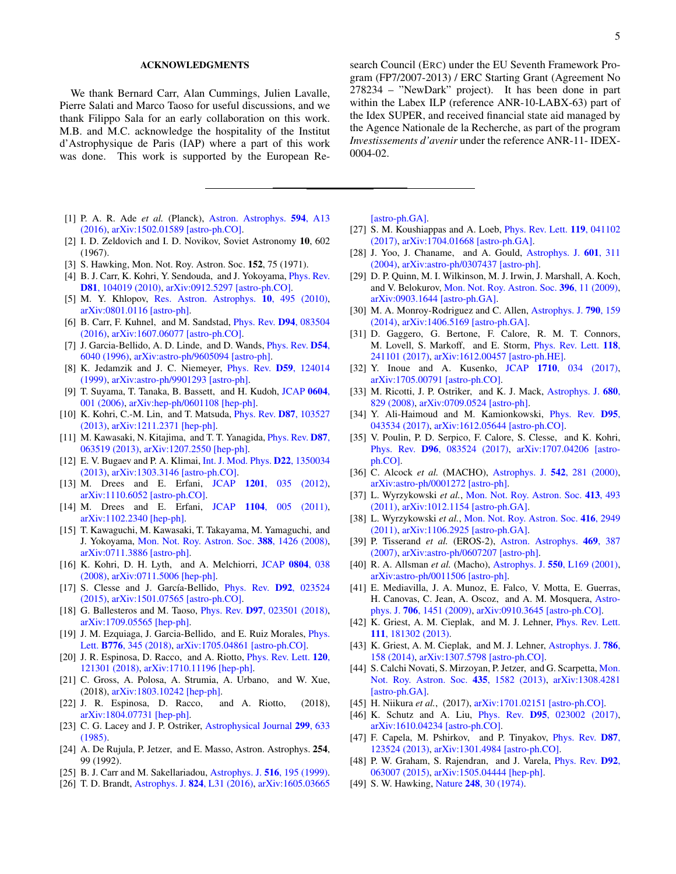## ACKNOWLEDGMENTS

We thank Bernard Carr, Alan Cummings, Julien Lavalle, Pierre Salati and Marco Taoso for useful discussions, and we thank Filippo Sala for an early collaboration on this work. M.B. and M.C. acknowledge the hospitality of the Institut d'Astrophysique de Paris (IAP) where a part of this work was done. This work is supported by the European Re-

- <span id="page-4-0"></span>[1] P. A. R. Ade *et al.* (Planck), [Astron. Astrophys.](http://dx.doi.org/10.1051/0004-6361/201525830) 594, A13 [\(2016\),](http://dx.doi.org/10.1051/0004-6361/201525830) [arXiv:1502.01589 \[astro-ph.CO\].](http://arxiv.org/abs/1502.01589)
- <span id="page-4-1"></span>[2] I. D. Zeldovich and I. D. Novikov, Soviet Astronomy 10, 602 (1967).
- <span id="page-4-2"></span>[3] S. Hawking, Mon. Not. Roy. Astron. Soc. 152, 75 (1971).
- <span id="page-4-3"></span>[4] B. J. Carr, K. Kohri, Y. Sendouda, and J. Yokoyama, *[Phys. Rev.](http://dx.doi.org/10.1103/PhysRevD.81.104019)* D81[, 104019 \(2010\),](http://dx.doi.org/10.1103/PhysRevD.81.104019) [arXiv:0912.5297 \[astro-ph.CO\].](http://arxiv.org/abs/0912.5297)
- [5] M. Y. Khlopov, [Res. Astron. Astrophys.](http://dx.doi.org/10.1088/1674-4527/10/6/001) 10, 495 (2010), [arXiv:0801.0116 \[astro-ph\].](http://arxiv.org/abs/0801.0116)
- <span id="page-4-4"></span>[6] B. Carr, F. Kuhnel, and M. Sandstad, [Phys. Rev.](http://dx.doi.org/10.1103/PhysRevD.94.083504) D94, 083504 [\(2016\),](http://dx.doi.org/10.1103/PhysRevD.94.083504) [arXiv:1607.06077 \[astro-ph.CO\].](http://arxiv.org/abs/1607.06077)
- <span id="page-4-5"></span>[7] J. Garcia-Bellido, A. D. Linde, and D. Wands, [Phys. Rev.](http://dx.doi.org/10.1103/PhysRevD.54.6040) D54, [6040 \(1996\),](http://dx.doi.org/10.1103/PhysRevD.54.6040) [arXiv:astro-ph/9605094 \[astro-ph\].](http://arxiv.org/abs/astro-ph/9605094)
- [8] K. Jedamzik and J. C. Niemeyer, *[Phys. Rev.](http://dx.doi.org/10.1103/PhysRevD.59.124014) D59*, 124014 [\(1999\),](http://dx.doi.org/10.1103/PhysRevD.59.124014) [arXiv:astro-ph/9901293 \[astro-ph\].](http://arxiv.org/abs/astro-ph/9901293)
- [9] T. Suyama, T. Tanaka, B. Bassett, and H. Kudoh, [JCAP](http://dx.doi.org/10.1088/1475-7516/2006/04/001) 0604, [001 \(2006\),](http://dx.doi.org/10.1088/1475-7516/2006/04/001) [arXiv:hep-ph/0601108 \[hep-ph\].](http://arxiv.org/abs/hep-ph/0601108)
- [10] K. Kohri, C.-M. Lin, and T. Matsuda, [Phys. Rev.](http://dx.doi.org/10.1103/PhysRevD.87.103527) D87, 103527 [\(2013\),](http://dx.doi.org/10.1103/PhysRevD.87.103527) [arXiv:1211.2371 \[hep-ph\].](http://arxiv.org/abs/1211.2371)
- [11] M. Kawasaki, N. Kitajima, and T. T. Yanagida, *[Phys. Rev.](http://dx.doi.org/10.1103/PhysRevD.87.063519) D87*, [063519 \(2013\),](http://dx.doi.org/10.1103/PhysRevD.87.063519) [arXiv:1207.2550 \[hep-ph\].](http://arxiv.org/abs/1207.2550)
- [12] E. V. Bugaev and P. A. Klimai, [Int. J. Mod. Phys.](http://dx.doi.org/10.1142/S021827181350034X) D22, 1350034 [\(2013\),](http://dx.doi.org/10.1142/S021827181350034X) [arXiv:1303.3146 \[astro-ph.CO\].](http://arxiv.org/abs/1303.3146)
- [13] M. Drees and E. Erfani, JCAP 1201[, 035 \(2012\),](http://dx.doi.org/10.1088/1475-7516/2012/01/035) [arXiv:1110.6052 \[astro-ph.CO\].](http://arxiv.org/abs/1110.6052)
- [14] M. Drees and E. Erfani, JCAP 1104[, 005 \(2011\),](http://dx.doi.org/10.1088/1475-7516/2011/04/005) [arXiv:1102.2340 \[hep-ph\].](http://arxiv.org/abs/1102.2340)
- [15] T. Kawaguchi, M. Kawasaki, T. Takayama, M. Yamaguchi, and J. Yokoyama, [Mon. Not. Roy. Astron. Soc.](http://dx.doi.org/ 10.1111/j.1365-2966.2008.13523.x) 388, 1426 (2008), [arXiv:0711.3886 \[astro-ph\].](http://arxiv.org/abs/0711.3886)
- [16] K. Kohri, D. H. Lyth, and A. Melchiorri, [JCAP](http://dx.doi.org/10.1088/1475-7516/2008/04/038) 0804, 038 [\(2008\),](http://dx.doi.org/10.1088/1475-7516/2008/04/038) [arXiv:0711.5006 \[hep-ph\].](http://arxiv.org/abs/0711.5006)
- [17] S. Clesse and J. García-Bellido, *[Phys. Rev.](http://dx.doi.org/10.1103/PhysRevD.92.023524) D92*, 023524 [\(2015\),](http://dx.doi.org/10.1103/PhysRevD.92.023524) [arXiv:1501.07565 \[astro-ph.CO\].](http://arxiv.org/abs/1501.07565)
- <span id="page-4-6"></span>[18] G. Ballesteros and M. Taoso, Phys. Rev. D97[, 023501 \(2018\),](http://dx.doi.org/10.1103/PhysRevD.97.023501) [arXiv:1709.05565 \[hep-ph\].](http://arxiv.org/abs/1709.05565)
- <span id="page-4-7"></span>[19] J. M. Ezquiaga, J. Garcia-Bellido, and E. Ruiz Morales, *[Phys.](http://dx.doi.org/10.1016/j.physletb.2017.11.039)* Lett. B776[, 345 \(2018\),](http://dx.doi.org/10.1016/j.physletb.2017.11.039) [arXiv:1705.04861 \[astro-ph.CO\].](http://arxiv.org/abs/1705.04861)
- <span id="page-4-8"></span>[20] J. R. Espinosa, D. Racco, and A. Riotto, *[Phys. Rev. Lett.](http://dx.doi.org/10.1103/PhysRevLett.120.121301)* 120, [121301 \(2018\),](http://dx.doi.org/10.1103/PhysRevLett.120.121301) [arXiv:1710.11196 \[hep-ph\].](http://arxiv.org/abs/1710.11196)
- <span id="page-4-9"></span>[21] C. Gross, A. Polosa, A. Strumia, A. Urbano, and W. Xue, (2018), [arXiv:1803.10242 \[hep-ph\].](http://arxiv.org/abs/1803.10242)
- <span id="page-4-10"></span>[22] J. R. Espinosa, D. Racco, and A. Riotto, (2018), [arXiv:1804.07731 \[hep-ph\].](http://arxiv.org/abs/1804.07731)
- <span id="page-4-11"></span>[23] C. G. Lacey and J. P. Ostriker, [Astrophysical Journal](http://dx.doi.org/10.1086/163729) 299, 633 [\(1985\).](http://dx.doi.org/10.1086/163729)
- [24] A. De Rujula, P. Jetzer, and E. Masso, Astron. Astrophys. 254, 99 (1992).
- [25] B. J. Carr and M. Sakellariadou, [Astrophys. J.](http://dx.doi.org/10.1086/307071) **516**, 195 (1999).
- [26] T. D. Brandt, [Astrophys. J.](http://dx.doi.org/10.3847/2041-8205/824/2/L31) 824, L31 (2016), [arXiv:1605.03665](http://arxiv.org/abs/1605.03665)

search Council (ERC) under the EU Seventh Framework Program (FP7/2007-2013) / ERC Starting Grant (Agreement No 278234 – "NewDark" project). It has been done in part within the Labex ILP (reference ANR-10-LABX-63) part of the Idex SUPER, and received financial state aid managed by the Agence Nationale de la Recherche, as part of the program *Investissements d'avenir* under the reference ANR-11- IDEX-0004-02.

[\[astro-ph.GA\].](http://arxiv.org/abs/1605.03665)

- [27] S. M. Koushiappas and A. Loeb, *[Phys. Rev. Lett.](http://dx.doi.org/10.1103/PhysRevLett.119.041102)* **119**, 041102 [\(2017\),](http://dx.doi.org/10.1103/PhysRevLett.119.041102) [arXiv:1704.01668 \[astro-ph.GA\].](http://arxiv.org/abs/1704.01668)
- [28] J. Yoo, J. Chaname, and A. Gould, [Astrophys. J.](http://dx.doi.org/10.1086/380562) 601, 311 [\(2004\),](http://dx.doi.org/10.1086/380562) [arXiv:astro-ph/0307437 \[astro-ph\].](http://arxiv.org/abs/astro-ph/0307437)
- [29] D. P. Quinn, M. I. Wilkinson, M. J. Irwin, J. Marshall, A. Koch, and V. Belokurov, [Mon. Not. Roy. Astron. Soc.](http://dx.doi.org/ 10.1111/j.1745-3933.2009.00652.x) 396, 11 (2009), [arXiv:0903.1644 \[astro-ph.GA\].](http://arxiv.org/abs/0903.1644)
- <span id="page-4-12"></span>[30] M. A. Monroy-Rodriguez and C. Allen, [Astrophys. J.](http://dx.doi.org/10.1088/0004-637X/790/2/159) 790, 159 [\(2014\),](http://dx.doi.org/10.1088/0004-637X/790/2/159) [arXiv:1406.5169 \[astro-ph.GA\].](http://arxiv.org/abs/1406.5169)
- <span id="page-4-13"></span>[31] D. Gaggero, G. Bertone, F. Calore, R. M. T. Connors, M. Lovell, S. Markoff, and E. Storm, [Phys. Rev. Lett.](http://dx.doi.org/ 10.1103/PhysRevLett.118.241101) 118, [241101 \(2017\),](http://dx.doi.org/ 10.1103/PhysRevLett.118.241101) [arXiv:1612.00457 \[astro-ph.HE\].](http://arxiv.org/abs/1612.00457)
- <span id="page-4-14"></span>[32] Y. Inoue and A. Kusenko, JCAP 1710[, 034 \(2017\),](http://dx.doi.org/10.1088/1475-7516/2017/10/034) [arXiv:1705.00791 \[astro-ph.CO\].](http://arxiv.org/abs/1705.00791)
- <span id="page-4-15"></span>[33] M. Ricotti, J. P. Ostriker, and K. J. Mack, [Astrophys. J.](http://dx.doi.org/10.1086/587831) 680, [829 \(2008\),](http://dx.doi.org/10.1086/587831) [arXiv:0709.0524 \[astro-ph\].](http://arxiv.org/abs/0709.0524)
- [34] Y. Ali-Haimoud and M. Kamionkowski, [Phys. Rev.](http://dx.doi.org/10.1103/PhysRevD.95.043534) D95, [043534 \(2017\),](http://dx.doi.org/10.1103/PhysRevD.95.043534) [arXiv:1612.05644 \[astro-ph.CO\].](http://arxiv.org/abs/1612.05644)
- <span id="page-4-16"></span>[35] V. Poulin, P. D. Serpico, F. Calore, S. Clesse, and K. Kohri, Phys. Rev. D96[, 083524 \(2017\),](http://dx.doi.org/ 10.1103/PhysRevD.96.083524) [arXiv:1707.04206 \[astro](http://arxiv.org/abs/1707.04206)[ph.CO\].](http://arxiv.org/abs/1707.04206)
- <span id="page-4-17"></span>[36] C. Alcock *et al.* (MACHO), [Astrophys. J.](http://dx.doi.org/10.1086/309512) **542**, 281 (2000), [arXiv:astro-ph/0001272 \[astro-ph\].](http://arxiv.org/abs/astro-ph/0001272)
- [37] L. Wyrzykowski *et al.*, [Mon. Not. Roy. Astron. Soc.](http://dx.doi.org/ 10.1111/j.1365-2966.2010.18150.x) 413, 493 [\(2011\),](http://dx.doi.org/ 10.1111/j.1365-2966.2010.18150.x) [arXiv:1012.1154 \[astro-ph.GA\].](http://arxiv.org/abs/1012.1154)
- [38] L. Wyrzykowski *et al.*, [Mon. Not. Roy. Astron. Soc.](http://dx.doi.org/ 10.1111/j.1365-2966.2011.19243.x) 416, 2949 [\(2011\),](http://dx.doi.org/ 10.1111/j.1365-2966.2011.19243.x) [arXiv:1106.2925 \[astro-ph.GA\].](http://arxiv.org/abs/1106.2925)
- [39] P. Tisserand *et al.* (EROS-2), [Astron. Astrophys.](http://dx.doi.org/10.1051/0004-6361:20066017) 469, 387 [\(2007\),](http://dx.doi.org/10.1051/0004-6361:20066017) [arXiv:astro-ph/0607207 \[astro-ph\].](http://arxiv.org/abs/astro-ph/0607207)
- [40] R. A. Allsman *et al.* (Macho), Astrophys. J. 550[, L169 \(2001\),](http://dx.doi.org/10.1086/319636) [arXiv:astro-ph/0011506 \[astro-ph\].](http://arxiv.org/abs/astro-ph/0011506)
- [41] E. Mediavilla, J. A. Munoz, E. Falco, V. Motta, E. Guerras, H. Canovas, C. Jean, A. Oscoz, and A. M. Mosquera, [Astro](http://dx.doi.org/10.1088/0004-637X/706/2/1451)phys. J. 706[, 1451 \(2009\),](http://dx.doi.org/10.1088/0004-637X/706/2/1451) [arXiv:0910.3645 \[astro-ph.CO\].](http://arxiv.org/abs/0910.3645)
- [42] K. Griest, A. M. Cieplak, and M. J. Lehner, [Phys. Rev. Lett.](http://dx.doi.org/10.1103/PhysRevLett.111.181302) 111[, 181302 \(2013\).](http://dx.doi.org/10.1103/PhysRevLett.111.181302)
- [43] K. Griest, A. M. Cieplak, and M. J. Lehner, [Astrophys. J.](http://dx.doi.org/10.1088/0004-637X/786/2/158) 786, [158 \(2014\),](http://dx.doi.org/10.1088/0004-637X/786/2/158) [arXiv:1307.5798 \[astro-ph.CO\].](http://arxiv.org/abs/1307.5798)
- [44] S. Calchi Novati, S. Mirzoyan, P. Jetzer, and G. Scarpetta, [Mon.](http://dx.doi.org/10.1093/mnras/stt1402) [Not. Roy. Astron. Soc.](http://dx.doi.org/10.1093/mnras/stt1402) 435, 1582 (2013), [arXiv:1308.4281](http://arxiv.org/abs/1308.4281) [\[astro-ph.GA\].](http://arxiv.org/abs/1308.4281)
- <span id="page-4-18"></span>[45] H. Niikura *et al.*, (2017), [arXiv:1701.02151 \[astro-ph.CO\].](http://arxiv.org/abs/1701.02151)
- <span id="page-4-19"></span>[46] K. Schutz and A. Liu, *Phys. Rev. D95*[, 023002 \(2017\),](http://dx.doi.org/10.1103/PhysRevD.95.023002) [arXiv:1610.04234 \[astro-ph.CO\].](http://arxiv.org/abs/1610.04234)
- <span id="page-4-20"></span>[47] F. Capela, M. Pshirkov, and P. Tinyakov, *[Phys. Rev.](http://dx.doi.org/10.1103/PhysRevD.87.123524) D87*, [123524 \(2013\),](http://dx.doi.org/10.1103/PhysRevD.87.123524) [arXiv:1301.4984 \[astro-ph.CO\].](http://arxiv.org/abs/1301.4984)
- <span id="page-4-21"></span>[48] P. W. Graham, S. Rajendran, and J. Varela, *[Phys. Rev.](http://dx.doi.org/10.1103/PhysRevD.92.063007)* **D92**, [063007 \(2015\),](http://dx.doi.org/10.1103/PhysRevD.92.063007) [arXiv:1505.04444 \[hep-ph\].](http://arxiv.org/abs/1505.04444)
- <span id="page-4-22"></span>[49] S. W. Hawking, Nature **248**[, 30 \(1974\).](http://dx.doi.org/10.1038/248030a0)